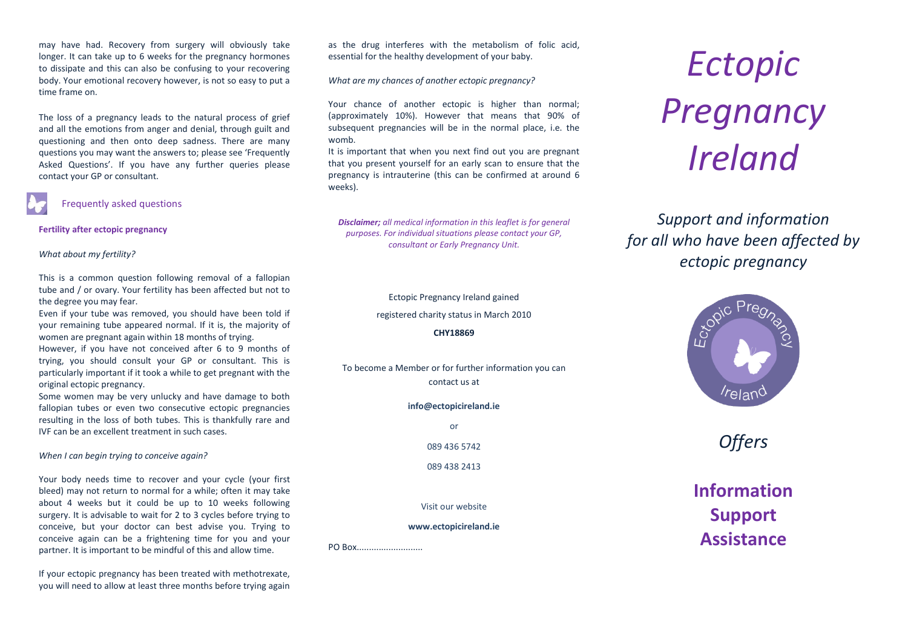may have had. Recovery from surgery will obviously take longer. It can take up to 6 weeks for the pregnancy hormones to dissipate and this can also be confusing to your recovering body. Your emotional recovery however, is not so easy to put a time frame on.

The loss of a pregnancy leads to the natural process of grief and all the emotions from anger and denial, through guilt and questioning and then onto deep sadness. There are many questions you may want the answers to; please see 'Frequently Asked Questions'. If you have any further queries please contact your GP or consultant.

#### Frequently asked questions

**Fertility after ectopic pregnancy**

*What about my fertility?*

This is a common question following removal of a fallopian tube and / or ovary. Your fertility has been affected but not to the degree you may fear.

Even if your tube was removed, you should have been told if your remaining tube appeared normal. If it is, the majority of women are pregnant again within 18 months of trying. However, if you have not conceived after 6 to 9 months of trying, you should consult your GP or consultant. This is particularly important if it took a while to get pregnant with the original ectopic pregnancy.

Some women may be very unlucky and have damage to both fallopian tubes or even two consecutive ectopic pregnancies resulting in the loss of both tubes. This is thankfully rare and IVF can be an excellent treatment in such cases.

*When I can begin trying to conceive again?*

Your body needs time to recover and your cycle (your first bleed) may not return to normal for a while; often it may take about 4 weeks but it could be up to 10 weeks following surgery. It is advisable to wait for 2 to 3 cycles before trying to conceive, but your doctor can best advise you. Trying to conceive again can be a frightening time for you and your partner. It is important to be mindful of this and allow time.

If your ectopic pregnancy has been treated with methotrexate, you will need to allow at least three months before trying again as the drug interferes with the metabolism of folic acid, essential for the healthy development of your baby.

*What are my chances of another ectopic pregnancy?*

Your chance of another ectopic is higher than normal; (approximately 10%). However that means that 90% of subsequent pregnancies will be in the normal place, i.e. the womb.

It is important that when you next find out you are pregnant that you present yourself for an early scan to ensure that the pregnancy is intrauterine (this can be confirmed at around 6 weeks).

*Disclaimer; all medical information in this leaflet is for general purposes. For individual situations please contact your GP, consultant or Early Pregnancy Unit.*

### Ectopic Pregnancy Ireland gained

registered charity status in March 2010

**CHY18869**

To become a Member or for further information you can

contact us at

#### **info@ectopicireland.ie**

or

089 436 5742

089 438 2413

Visit our website

#### **www.ectopicireland.ie**

PO Box...........................

# *Ectopic Pregnancy Ireland*

*Support and information for all who have been affected by ectopic pregnancy*



## *Offers*

## **Information Support Assistance**